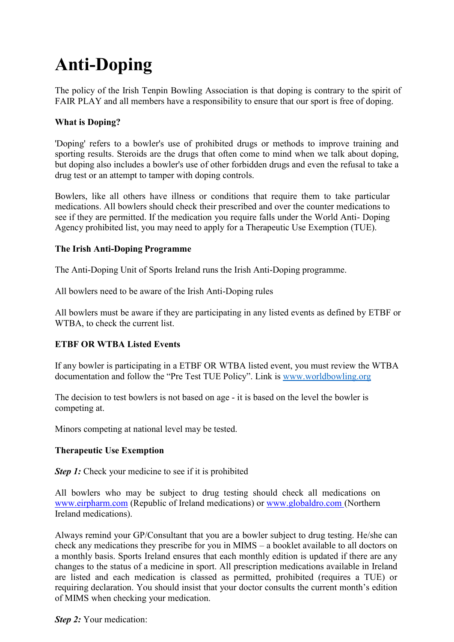# **Anti-Doping**

The policy of the Irish Tenpin Bowling Association is that doping is contrary to the spirit of FAIR PLAY and all members have a responsibility to ensure that our sport is free of doping.

## **What is Doping?**

'Doping' refers to a bowler's use of prohibited drugs or methods to improve training and sporting results. Steroids are the drugs that often come to mind when we talk about doping, but doping also includes a bowler's use of other forbidden drugs and even the refusal to take a drug test or an attempt to tamper with doping controls.

Bowlers, like all others have illness or conditions that require them to take particular medications. All bowlers should check their prescribed and over the counter medications to see if they are permitted. If the medication you require falls under the World Anti- Doping Agency prohibited list, you may need to apply for a Therapeutic Use Exemption (TUE).

### **The Irish Anti-Doping Programme**

The Anti-Doping Unit of Sports Ireland runs the Irish Anti-Doping programme.

All bowlers need to be aware of the Irish Anti-Doping rules

All bowlers must be aware if they are participating in any listed events as defined by ETBF or WTBA, to check the current list.

### **ETBF OR WTBA Listed Events**

If any bowler is participating in a ETBF OR WTBA listed event, you must review the WTBA documentation and follow the "Pre Test TUE Policy". Link is www.worldbowling.org

The decision to test bowlers is not based on age - it is based on the level the bowler is competing at.

Minors competing at national level may be tested.

#### **Therapeutic Use Exemption**

*Step 1:* Check your medicine to see if it is prohibited

All bowlers who may be subject to drug testing should check all medications on www.eirpharm.com (Republic of Ireland medications) or www.globaldro.com (Northern Ireland medications).

Always remind your GP/Consultant that you are a bowler subject to drug testing. He/she can check any medications they prescribe for you in MIMS – a booklet available to all doctors on a monthly basis. Sports Ireland ensures that each monthly edition is updated if there are any changes to the status of a medicine in sport. All prescription medications available in Ireland are listed and each medication is classed as permitted, prohibited (requires a TUE) or requiring declaration. You should insist that your doctor consults the current month's edition of MIMS when checking your medication.

*Step 2:* Your medication: